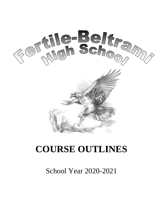

# **COURSE OUTLINES**

# School Year 2020-2021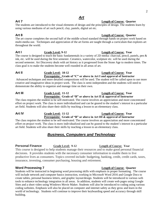# *Art*

## **Art 7 Length of Course: Quarter**

The students are introduced to the visual elements of design and the principles of design. The students learn by using various mediums of art such pencil, clay, pastels, digital art etc.

**Art 8 Length of Course: Quarter** The art course completes the second half of the middle school standard through hands on project work based on multi-media use. Techniques and appreciation of the art forms are taught through a curriculum that explores art throughout the world.

# **Art I Grade Level: 9-12 Length of Course: Year**

The course is designed to teach the basic fundamentals in a variety of 2D media: charcoal, pencil, pastels, pen & ink, etc. will be used during the first semester. Ceramics, watercolor, sculpture etc. will be used during the second semester. Art Discovery deals with art history as it progressed from the Stone Age to modern times. The class goal is to make the students become well rounded in all areas of art.

# **Art II Grade Level: 10-12 Length of Course: Year**

**Prerequisite: Grade of "C" or above in Art I and approval of Instructor**  Advanced techniques and more detailed compositions will be used. The student will be called upon to use more creative and imaginative ideas in project work. The class is semi-independent and the students will need to demonstrate the ability to organize and manage time on their own.

### Art III **Grade Level:** 11-12 **Length of Course:** Year **Prerequisite: Grade of "B" or above in Art II & approval of Instructor**

The class requires the student to be self-motivated. The course involves an appreciation and more concentrated effort on project work. The class is more individualized and can be geared to the student's interest in a particular art field. Students will also share their skills by teaching a lesson to an elementary class.

### **Art IV Grade Level: 11-12 Length of Course: Year Prerequisite: Grade of "B" or above in Art III & approval of Instructor**

The class requires the student to be self-motivated. The course involves an appreciation and more concentrated effort on project work. The class is more individualized and can be geared to the student's interest in a particular art field. Students will also share their skills by teaching a lesson to an elementary class.

# *Business, Computers and Technology*

# **Personal Finance Grade Level: 9-12 Length of Course: Year**

This course is designed to help students manage their resources and to make good personal financial decisions. It provides students with the necessary consumer information to enable them to live productive lives as consumers. Topics covered include: budgeting, banking, credit, credit cards, taxes, insurance, investing, consumer purchasing, housing and retirement.

Students will be instructed in beginning word processing skills with emphasis in proper formatting. The course will include network and computer basics instruction, working in Microsoft Word 2016 and Google Docs to create tables, personal business letters, and graphic layout/design. Students will be introduced to various web tools to enhance technology integration in all areas. In addition, students will create web pages using Google Sites and a short video using Windows Movie Maker. Students will also be introduced to coding using various coding websites. Emphasis will also be placed on computer and internet safety as they grow and learn in the world of technology. Students will continue to improve their keyboarding speed and accuracy through skill building.

### **Word Processing 7 Length of Course: Quarter**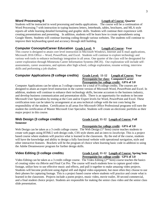### 3

### **Word Processing 8 Length of Course: Quarter**

Students will be instructed in word processing and media applications. The course will be a continuation of Word Processing 7 with instruction in typing business letters, letterheads, tables, brochures, and MLA style reports all while learning detailed formatting and graphic skills. Students will continue their experience with creating presentations and presenting. In addition, students will be learn how to create spreadsheets using Google Sheets. Students will continue learning coding through various websites. The students will continue to improve their keyboarding speed and accuracy through skill building.

# **Computer Concepts/Career Education Grade Level: 9 Length of Course: Year**

This course is designed to attain core level instruction in Microsoft Windows, Internet and E-mail applications, Microsoft 2016 Office -- Word, PowerPoint, and Excel. Students will continue to explore technology and various web tools to enhance technology integration in all areas. One quarter of the class will be designated for career exploration through Minnesota Career Information Systems (MCIS). Our exploration will include selfassessments, career awareness, and options after high school, college exploration, resume writing, interview skills and performing a job shadow.

# **Computer Applications (9 college credits) Grade Level: 11-12 Length of Course: Year**

# **Prerequisite for class: Computer/Career Prerequisite for college credit: GPA of 3.0**

Computer Applications can be taken as 3 college courses for a total of 9 college credits. The courses are designed to attain an expert level instruction in the current version of Microsoft Word, PowerPoint and Excel. In addition, students will continue to enhance their technology skills, become accustom to the business industry, and develop business communication and presentation skills. There is an opportunity for students to become Microsoft User Specialists by testing at the Core and/or Expert levels for Word, PowerPoint and Excel. These certification tests can be taken by arrangement at an area technical college with the test costs being the responsibility of the student. Certification in all areas five Microsoft Office Professional programs will earn the student the certification of Master Microsoft User Specialist. Students will create an electronic portfolio as their major project in this course.

# **Semester**

# **Prerequisite for college credit: GPA of 3.0** Web Design can be taken as a 3 credit college course. The Web Design (1<sup>st</sup> Sem) course teaches students to create web pages using HTML5 web design code, CSS style sheets and an intro to JavaScript. This is a project

based course where students will practice what is learned in the classroom. By the end of the course, students will have the knowledge and ability to design a fully functional website with operational navigation, style and other interactive features. Brackets will be the program of choice when learning basic code in addition to using the Adobe Dreamweaver program for further design skills.

**Video Editing (3 college credits) Grade Level: 11-12 Length of Course: Spring Sem Prerequisite for college credit: GPA of 3.0**

Video Editing can be taken as a 3 credit college course. The Video Editing  $(2<sup>nd</sup>$  Sem) course teaches the basics of creating video via iMovie and Final Cut Pro. The course will teach students how to capture good video footage, utilize how to use effective music and effects, and pull it together to make amazing video projects. Students will become proficient using digital still and digital video equipment, but most often they choose to use their phones for capturing footage. This is a project based course where students will practice and create what is learned in the classroom. Projects include a poem project, music video, movie trailer, 30 second commercial, and a final student choice project. Students are responsible for making the senior class video and the senior class slide presentation.

**Web Design (3 college credits) Grade Level: 11-12 Length of Course: Fall**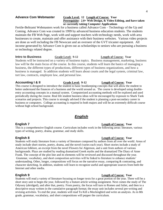### **Advance Com Webmaster Grade Level: 12 Length of Course: Year Prerequisite: 2.0+ Web Design, & Video Editing, and have taken or currently taking Computer Applications**

Fertile-Beltrami Webmasters work for a business called Advance Com – Technology of the Up and Coming. Advance Com was created in 1999 by advanced business education students. The students maintain the FB Web Page, work with and support teachers with technology needs, work with area businesses to create, maintain and offer assistance with their business websites. Various video projects are done as well including the FB Newscast and an overseer of the GVT tricaster equipment. All income generated by Advance Com is given out as scholarships to seniors who are pursuing a business or technology related degree.

### **Intro to Business Grade Level: 9-12 Length of Course: Year**

Students will be instructed on a variety of business topics. Business management, marketing, business law will be the main focus of the course. In this course, students will learn the basics of managing a business, the different types of productions, different types of business organizations, and how a business is managed. In addition students will learn about courts and the legal system, criminal law, tort law, contracts, employee law, and personal law.

### **Accounting I & II Grade Level: 9-12 Length of Course: Year**

This course is designed to introduce the student to basic bookkeeping concepts that will allow the student to better understand the finances of a business and the world around us. The course is developed using doubleentry accounting concepts in a manual system. Computerized accounting methods will be explored and used periodically during the course. Real life student business ideas will be encouraged by exposure to Shark Tank scenarios and projects. This course is strongly advised if the student is planning a post-secondary career in business or computers. College accounting is required in both majors and will be an extremely difficult course without high school background.

# *English*

### **English 7 Length of Course: Year**

This is a comprehensive English course. Curriculum includes work in the following areas: literature, various types of writing, poetry, drama, grammar, and study skills.

# **English 8 Length of Course: Year**

Students will study literature from a variety of literature composed by authors from all over the world. Areas of study include short stories, poetry, drama, and the novel (varies each year). Short stories include a study of American folklore, an excerpt from the novel Flowers for Algernon, and a unit from authors of various backgrounds. Plays are studied by reading dramatized Greek myths and the dramatized The Diary of Anne Frank. The concept of the plot line and its elements will be reviewed and discussed throughout the year. Grammar, vocabulary, and short composition activities will be linked to literature to enhance students' understanding. Other, longer, compositions will focus on the narrative essay, comparing  $\&$  contrasting, and character sketching. In addition, students will learn to recognize useful and appropriate sources from both the Internet and other media.

Students will read a variety of literature focusing on longer texts for a great portion of the year. There will be a short story unit to begin the year, followed by a feature article writing assignment. Next comes the study of The Odyssey (abridged), and after that, poetry. From poetry, the focus will turn to Romeo and Juliet, and then to a descriptive essay written in the cumulative paragraph format; the essay unit includes several pre-writing and revising activities. To end the year, students will read To Kill a Mockingbird and write an analysis. As in 8th grade, grammar, vocabulary, and short compositions will pepper the curriculum.

# **English 9 Length of Course: Year**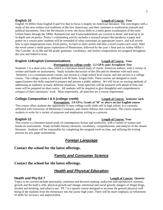### **English 10 Length of Course: Year**

English 10 differs from English 8 and 9 in that its focus is largely on American literature. The year begins with a study of the now-written oral traditions of the first Americans, and then continues to exploration journals and political documents. Once the Revolution is over, the focus shifts to a multi-genre examination of the early United States through the 1800s. Romanticism and Transcendentalism are covered in detail, and lead up to an in-depth unit on poetry. Poetry's culminating activity includes a research project that produces a paper and poster on a certain poet; students will be reminded of what constitutes an appropriate source, and will review how to spot inappropriate ones. From poetry, its back to short stories and then a novel (varies each year). After the novel comes a multi-genre exploration of Modernism, followed by the year's final unit on Arthur Miller's The Crucible. As in 8th and 9th grade, grammar, vocabulary, and shorter compositions are assigned throughout the year and linked to texts.

### **English 11/English Communications** *Length of Course: Year*

**Prerequisite for college credit**: **3.2 GPA; pass Accuplacer Test** Semester 1 is a short story class, which is a literature-based study of classic American authors, with a variety of written and hands-on assessments. Study includes discussion of the film and its elements with each story. Semester 2 is a communications course; one section is a high school level course, and one section is a college course. The college course is affiliated with M State- Fergus Falls. These courses are designed to teach upperclassmen the skills required to prepare and present a public address. We will focus on varying methods of addressing an audience in many different situations. Some speeches will be prepared well ahead of time and some will be prepared on short notice. All students will be required to give thoughtful and comprehensive critiques of their classmates' work. Most importantly, all speeches are a course requirement.

### **College Composition I & II (college credit)** Length of Course: Semester each

**Prerequisite: 3.0 GPA; Grade of "B" or above on last English course** This course offers students the opportunity to earn college credit while still in high school. It is currently affiliated with University of Minnesota Crookston, and closely follows that curriculum. The course requires students to write for a variety of purposes and emphasizes writing as a process.

This course is a literature-based study of contemporary fiction and nonfiction, with a variety of written and hands-on assessments. Study includes literary elements, vocabulary, comprehension, and analysis of the chosen literature. Students will be responsible for completing the assigned work on time, and utilizing the writing process for any paper assessments.

# *Foreign Language*

### **Contact the school for the latest offerings.**

# *Family and Consumer Science*

### **Contact the school for the latest offerings.**

# *Health and Physical Education*

### **Health and Phy Ed 7 Length of Course: Quarter**

Topics to be covered include personality, emotions and decision making, endocrine and reproductive systems, growth and the body's cells, physical growth and change, emotional and social growth, dangers of illegal drugs, alcohol and drinking, and tobacco use. PE 7 is a quarter course designed to increase the general physical well being of the students from the elementary into the junior high years. There will be more emphasis on refinement of skills for accuracy and improvement.

### **English 12 Length of Course: Year**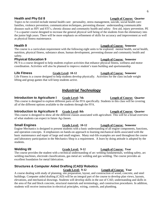### 6

### **Health and Phy Ed 8 Length of Course: Quarter**

Topics to be covered include mental health care: personality, stress management, suicide, social health care: families, violence prevention, communication techniques, preventing disease: understanding communicable diseases such as HIV and STI's, chronic disease and community health and safety: first aid, injury prevention. PE 7 is a quarter course designed to increase the general physical well being of the students from the elementary into the junior high years. There will be more emphasis on refinement of skills for accuracy and improvement as well as physical fitness maintenance.

## **Health 9 Length of Course: Semester**

The course is a curriculum requirement with the following eight units to be explored: mental health, social health, nutrition, physical fitness, substance abuse, human development, preventing disease and community health and safety.

# **Physical Education 9 Length of Course: Semester**

PE 9 is a course designed to help students explore activities that enhance physical fitness, wellness and motor coordination. Activities will also be planned to improve student's team building and sportsmanship.

**Life Fitness Grade Level: 10-12 Length of Course: Semester** Life Fitness is a course designed to help students develop physically. Activities for the class include weight lifting and group games that will keep students active.

# *Industrial Technology*

# **Introduction to Agriculture I Grade Level: 7th Length of Course: Quarter**

This course is designed to explore different parts of the FFA specifically. Students in this class will be covering all of the different options available to the students through the FFA.

# **Introduction to Agriculture II Grade Level: 8th Length of Course: Quarter**

This course is designed to show all the different classes associated with agriculture. This will be a broad overview of what students can expect in future Ag classes.

Engine Mechanics is designed to present students with a basic understanding of all engine components, functions, and operation concepts. It emphasizes on hands-on approach to learning mechanical skills associated with the basic maintenance and repair of large and small engines. Many real-life examples are used throughout the course and laboratory participation in the Mechanics Shop is a requirement. A learn by doing attitude is adopted by the students.

The course provides the student with a technical understanding of arc welding fundamentals, welding safety, arc welding machines, electrode classifications, gas metal arc welding and gas welding. The course provides an excellent foundation for metal fabrication.

# **Structures & Computer Aided Drafting (CAD)/ Robotics**

**Grade Level: 9-12 Length of Course: Year**

A course dealing with study of planning, site preparation, layout, and construction of wood, concrete, and steel buildings. Computer aided drafting (CAD) will be an integral part of the course to develop plan views, layouts, elevations, and mechanical drawings. Students will develop skills in the use of CAD, understanding and skills in the area of flat and block concrete, structural materials and terminology, and construction procedures. In addition, students will receive instruction in electrical principles, wiring, controls, and plumbing.

### **Small Engines Grade Level: 10-12 Length of Course: Semester**

**Welding I/II Grade Level: 9-12 Length of Course: Year**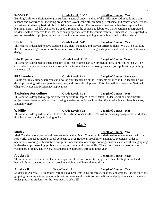### **Woods I/II Grade Level: 10-12 Length of Course: Year**

### Building Utilities is designed to give students a general understanding of the skills involved in building maintenance and construction. Including areas of site layout, concrete, plumbing, electricity, and construction. Woods is designed to develop basic skills in finished woodworking. The course emphasizes on hands-on approach to learning. Many real-life examples are used throughout the course and laboratory participation is incorporated. Students will be expected to create individual projects related to the course material. Students will be expected to pay for materials of projects, which they take home. A learn by doing attitude is adopted by the students.

## **Horticulture Grade Level: 9-12 Length of Course: Year**

This course is designed to have students plan, plant, maintain, and harvest different plants. We will be utilizing the classroom and greenhouse for this course. We will also be covering soils, plant identification, and landscape design.

# **Life Experiences Grade Level: 11-12 Length of Course: Year**

This course is designed to teach basic life skills that students can use throughout life. Some topics that will be covered are basic car maintenance, mower & tractor maintenance, cooking, finance, job application, plumbing, and electrical.

# **FFA Leadership Grade Level: 9-12 Length of Course: Semester**

Would you like a time where you can develop your leadership skills? Students enrolled in FFA leadership will develop speaking skills, cooperative learning, and career development. This class will also write the National Chapter Awards and Proficiency applications.

# **Exploring Agriculture Grade Level: 9-12 Length of Course: Year**

This course is designed to explore different agricultural topics in more detail. Students will be doing mostly project-based learning. We will be covering a variety of topics such as plant & animal sciences, farm business, and many more.

# **Wildlife Grade Level: 9-12 Length of Course: Year**

This course is designed for students to explore Minnesota's wildlife. We will be covering ecosystems, wild plants & animals, and hunting & fishing topics.

# *Math*

# **Math 7 Length of Course: Year**

### Math 7 is the second year of a three-year series called Math Connects. It is designed to integrate math with the real world. It teaches middle school concepts such as fractions, probability, geometry, exponents, order of operations, working with variables, integers, slope and rate of change, solving equations and coordinate graphing. It also develops reasoning, problem solving, and communication skills. There is emphasis on learning the vocabulary of math. The MN state standards are addressed throughout the year.

# **Algebra 8 Length of Course: Year**

This course will help students learn the important skills and concepts that prepare them for high school and beyond. It will develop reasoning, problem solving, and linear algebra skills.

**Algebra II Grade Level: 9 Length of Course: Year** Students in Algebra II (9th grade) learn to solve problems using algebraic equations and graphs. Linear functions, graphing linear equations, quadratic functions, systems of equations, inequalities, and polynomials are the main topics preparing students for the next level, Algebra III.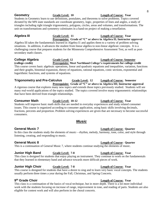### **Geometry Grade Level: 10 Length of Course: Year** Students in Geometry learn to use definitions, postulates, and theorems to solve problems. Topics covered dictated by the MN state standards are coordinate geometry, logic, properties of lines and angles, a study of triangles including right triangle trigonometry, polygons, circles, areas and volumes, and transformations. The unit on transformations and symmetry culminates in a hand-on project of making a tessellation.

### **Algebra III Grade Level: 11 Length of Course: Year Prerequisite: Grade of "C" or above in Algebra II; Instructor approval**

Algebra III takes the fundamentals learned in Algebra I1 and applies them to a variety of problem solving situations. In addition, it advances the student from linear algebra to non-linear algebraic concepts. It is a challenging course that prepares students for the Minnesota Comprehensive Assessment Test, as well as postsecondary math classes.

# **College Algebra Grade Level: 12 Length of Course: Semester (college credit) Prerequisite: Meet Northland College's requirements for college credit**

This course covers basic algebraic operations, linear and quadratic equations and inequalities, variation, functions and their graphs, binomial expansion, theory of equations, rational equations, conic sections, exponential and logarithmic functions, and systems of equations.

### **Trigonometry and Pre-Calculus Grade Level: 12 Length of Course: Semester Prerequisite: Grade of "C" or above in Algebra III; Instructor approval**

A rigorous course that explores many new topics and extends those topics previously studied. Students will see many real-world applications of the topics studied. The topics covered involve many trigonometric relationships that have been derived from triangle relationships.

# **Consumer Math Grade Level: 10-12 Length of Course: Year**

Students will improve basic math skills that are needed in everyday experiences and study related consumer issues. This course is organized according to consumer application, using basic skills involving decimals, fractions, percents and proportion. Problem solving experiences are given that are necessary to become successful consumers.

# *Music*

In this class the students study the elements of music—rhythm, melody, harmony, tone, color, and style through listening, creating, and responding to music.

This is a continuation of General Music 7, where students continue studying the elements of music.

# **Junior High Band Grade Level: 7-8 Length of Course: Year**

This class is designed for students that enjoy playing an instrument. They continue to work on the fundamentals that they learned in elementary band and advance towards more difficult pieces of work.

# **Junior High Choir Grade Level: 7-8 Length of Course: Year**

This course is designed for students that have a desire to sing and to learn very basic vocal concepts. The students usually perform three times a year during the Fall, Christmas, and Spring Concerts.

# 9<sup>th</sup> Grade Choir

**Length of Course: Year** This class is a continuation of the basics of vocal technique, but in more depth. There is a lot more individual work with the students focusing on increase of range, improvement in tone, and reading of parts. Students are also eligible for contest work and will also perform in the choral concerts.

# **General Music 7 Length of Course: Quarter**

# **General Music 8 Length of Course: Quarter**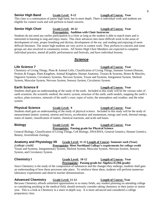## **Senior High Band Grade Level: 9-12 Length of Course: Year**

This class is a continuation of junior high band, but in more depth. There is individual work and students are eligible for contest work and will perform in band concerts.

### **Senior High Choir Grade Level: 10-12 Length of Course: Year Prerequisite: Audition with Choir Instructor**

Students do not need any earlier participation in a choir as long as the student is able to match tones and is interested in learning to sing and enjoy music. This choir advances into more difficult work in the areas of development of tone, proper breathing and diction, development of the ear, and reading and enjoying of more difficult literature. The senior high students are very active in contest work. They perform in concerts and some groups are also involved in community events. All Senior High Choir Members are expected to complete individual practice, attend all public performances and festivals, and have individual lessons.

# *Science*

# **Life Science 7 Length of Course: Year**

Chemistry of Living Things, Plant & Animal Cells, Classification of Living Things, Immune System-Disease, Protists & Fungus, Plant Kingdom, Animal Kingdom, Human Anatomy, Tissues & Systems, Bones & Muscles, Digestive Systems, Circulatory Systems, Nervous System, Tissue and Systems, Integument System, Skeletal System, Muscular System, Nervous System, Sensory System, Circulatory System.

# **Earth Science 8 Length of Course: Year**

Students shall gain an understanding of the study of the earth. Included in this study will be the various roles of earth scientists, the scientific method, the metric system, structure of the earth, earth models, mapping the earth's surface, plate tectonics, minerals of the earth's crust, types of rocks, the atmosphere and weather, and the solar system.

**Physical Science Grade Level: 9 Length of Course: Year** Students shall gain an understanding of the study of physical science. Included in this study will be the study of measurement (metric system), motion and forces, acceleration and momentum, energy and work, thermal energy, states of matter, classification of matter, chemical reactions, and acids and bases.

# **Prerequisite: Passing grade for Physical Science**

General Biology, Classification of Living Things, Cell Biology, DNA/RNA, General Genetics, Human Genetics, Botany, Invertebrate Zoology.

### **Anatomy and Physiology I/II Grade Level: 11-12 Length of Course: Semester each (Year)** *(college credit)* **Prerequisite: Meet Northland College's requirements for college credit** Tissue and Systems, Integumentary System, Skeletal System, Muscular System, Nervous System, Sensory System, and Circulatory System.

### **Chemistry I Grade Level: 10-12 Length of Course: Year Prerequisite: Passing grade for Algebra II (9th grade)**

Since Chemistry is the study of the composition of substances and the changes they undergo, students shall gain an understanding of how these processes take place. To reinforce these ideas, students will perform numerous laboratory experiments and observe teacher demonstrations.

# **Advanced Chemistry Grade Level: 11-12 Length of Course: Year**

Because Chemistry affords unlimited opportunities in so many fields, any student planning on attending college or considering anything in the medical field, should seriously consider taking chemistry in their junior or senior year. This is a look at Chemistry in a more in-depth way. It is more advanced and considered a college preparatory class.

**Biology Grade Level: 10 Length of Course: Year**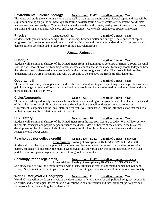# **Environmental Science/Zoology Grade Level: 11-12 Length of Course: Year**

This class will study the environment vs. man as well as man vs. the environment. Several topics and labs will be explored including air pollution, water quality testing, toxicity testing, water/wastewater treatment, solid waste management and soil analysis. Other topics include the weather and climate, earthquakes, tornadoes, hurricanes, tsunamis and super tsunamis, volcanoes and super volcanoes, water cycle, endangered species and others.

## **Physics Grade Level: 12 Length of Course: Year**

Students shall gain an understanding of the relationships between matter and energy. The sequence of topics progresses from concepts developed back in the time of Galileo and Newton to modern time. Experiments and demonstrations are employed to verify many of the basic relationships.

# *Social Sciences*

# **History 7 Length of Course: Year**

Students will examine the history of the United States from its beginnings as colonists of Britain through the Civil War. We will look at how our founding fathers created a country that is the model for many people today and how that idea was nearly destroyed when people within the country fought each other. The class will help students understand who we are as a country and why we are able to do and have the freedoms afforded to us.

# **Geography 8 Length of Course: Year**

The students will study where places are and be able to read and locate places and things on a map. They will also gain knowledge of how landforms are created and why people and items are located in particular places and how those places influence our lives.

# **Civics/Geography Grade Level: 9 Length of Course: Year**

This course is designed to help students achieve a basic understanding of the government of the United States and of the rights and responsibilities of American citizenship. Students will understand how the American Government is organized at the local, state, and federal level. Students will also be informed as to what their role in their government is in relation to their citizenship.

Students will examine the history of the United States from the late 19th Century to today. We will look at how the events, concepts, and people helped influence the diverse ideals or beliefs of the country in the historical development of the U.S. We will also look at the role the U.S has played in major world events and how we remain a world power today.

### **Psychology (for college credit) Grade Level: 11-12 Length of Course: Semester Prerequisites: Passing of Accuplacer; JR GPA of 3.2/SR GPA of 2.8**

Students discuss the basic principles of Psychology, and learn to recognize the emotions and responses of a person. Students will also study the major psychologists and the various psychological methods. We will also partake in various psychological experiments throughout the semester.

### **Sociology (for college credit) Grade Level: 11-12 Length of Course: Semester Prerequisites: Passing of Accuplacer; JR GPA of 3.2/SR GPA of 2.8**

Sociology looks at how the person interacts with others. Students attempt to understand human behavior and society. Students will also participate in various discussions to gain new avenues and views into human society.

# **World History/World Geography Grade Level: 11 Length of Course: Year**

World History will provide an analysis of the development of civilizations, social, political, religious, economic, scientific, and technological forces among civilizations, global interaction and interrelationships, to provide a framework for understanding the modern world.

# **U.S. History Grade Level: 10 Length of Course: Year**